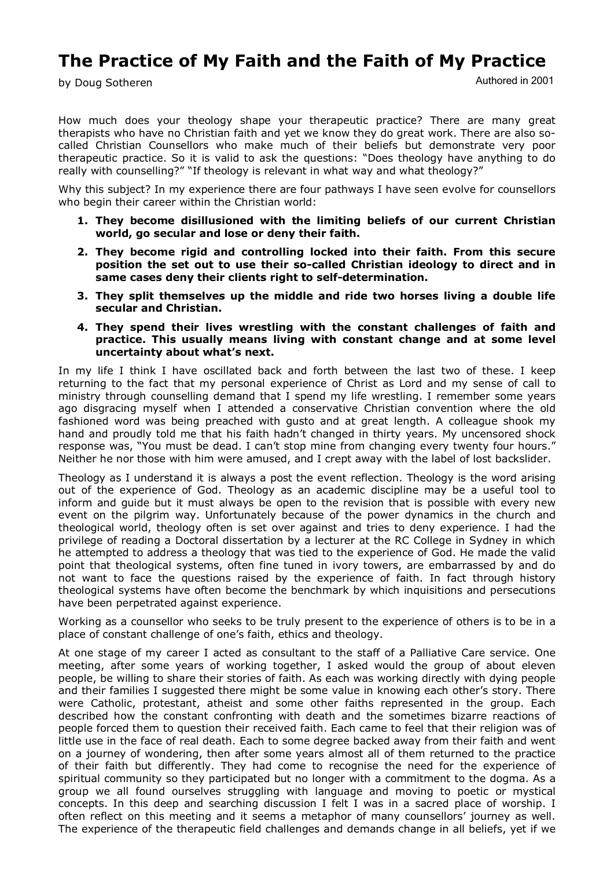# **The Practice of My Faith and the Faith of My Practice**

by Doug Sotheren

Authored in 2001

How much does your theology shape your therapeutic practice? There are many great therapists who have no Christian faith and yet we know they do great work. There are also so called Christian Counsellors who make much of their beliefs but demonstrate very poor therapeutic practice. So it is valid to ask the questions: "Does theology have anything to do really with counselling?" "If theology is relevant in what way and what theology?"

Why this subject? In my experience there are four pathways I have seen evolve for counsellors who begin their career within the Christian world:

- **1. They become disillusioned with the limiting beliefs of our current Christian world, go secular and lose or deny their faith.**
- **2. They become rigid and controlling locked into their faith. From this secure position the set out to use their socalled Christian ideology to direct and in**  same cases deny their clients right to self-determination.
- **3. They split themselves up the middle and ride two horses living a double life secular and Christian.**
- **4. They spend their lives wrestling with the constant challenges of faith and practice. This usually means living with constant change and at some level uncertainty about what's next.**

In my life I think I have oscillated back and forth between the last two of these. I keep returning to the fact that my personal experience of Christ as Lord and my sense of call to ministry through counselling demand that I spend my life wrestling. I remember some years ago disgracing myself when I attended a conservative Christian convention where the old fashioned word was being preached with gusto and at great length. A colleague shook my hand and proudly told me that his faith hadn't changed in thirty years. My uncensored shock response was, "You must be dead. I can't stop mine from changing every twenty four hours." Neither he nor those with him were amused, and I crept away with the label of lost backslider.

Theology as I understand it is always a post the event reflection. Theology is the word arising out of the experience of God. Theology as an academic discipline may be a useful tool to inform and guide but it must always be open to the revision that is possible with every new event on the pilgrim way. Unfortunately because of the power dynamics in the church and theological world, theology often is set over against and tries to deny experience. I had the privilege of reading a Doctoral dissertation by a lecturer at the RC College in Sydney in which he attempted to address a theology that was tied to the experience of God. He made the valid point that theological systems, often fine tuned in ivory towers, are embarrassed by and do not want to face the questions raised by the experience of faith. In fact through history theological systems have often become the benchmark by which inquisitions and persecutions have been perpetrated against experience.

Working as a counsellor who seeks to be truly present to the experience of others is to be in a place of constant challenge of one's faith, ethics and theology.

At one stage of my career I acted as consultant to the staff of a Palliative Care service. One meeting, after some years of working together, I asked would the group of about eleven people, be willing to share their stories of faith. As each was working directly with dying people and their families I suggested there might be some value in knowing each other's story. There were Catholic, protestant, atheist and some other faiths represented in the group. Each described how the constant confronting with death and the sometimes bizarre reactions of people forced them to question their received faith. Each came to feel that their religion was of little use in the face of real death. Each to some degree backed away from their faith and went on a journey of wondering, then after some years almost all of them returned to the practice of their faith but differently. They had come to recognise the need for the experience of spiritual community so they participated but no longer with a commitment to the dogma. As a group we all found ourselves struggling with language and moving to poetic or mystical concepts. In this deep and searching discussion I felt I was in a sacred place of worship. I often reflect on this meeting and it seems a metaphor of many counsellors' journey as well. The experience of the therapeutic field challenges and demands change in all beliefs, yet if we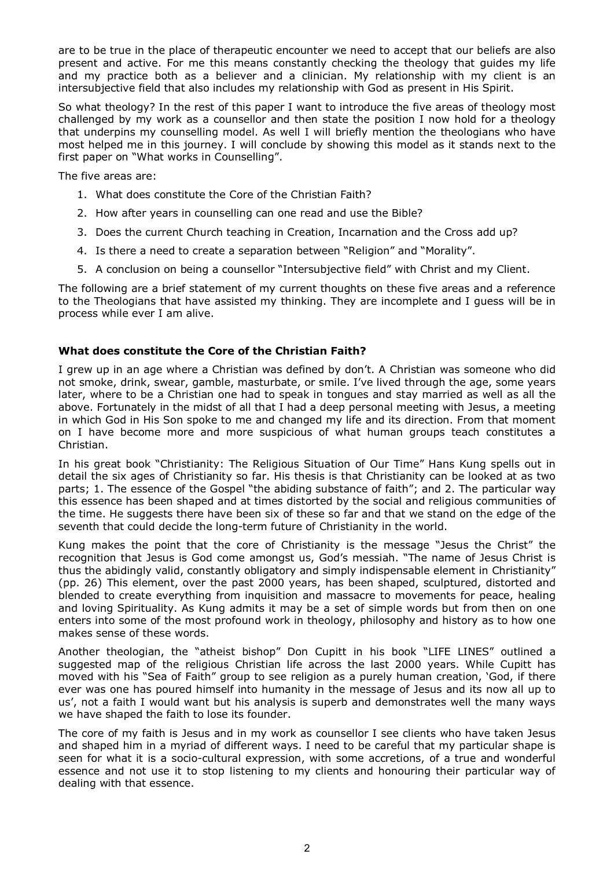are to be true in the place of therapeutic encounter we need to accept that our beliefs are also present and active. For me this means constantly checking the theology that guides my life and my practice both as a believer and a clinician. My relationship with my client is an intersubjective field that also includes my relationship with God as present in His Spirit.

So what theology? In the rest of this paper I want to introduce the five areas of theology most challenged by my work as a counsellor and then state the position I now hold for a theology that underpins my counselling model. As well I will briefly mention the theologians who have most helped me in this journey. I will conclude by showing this model as it stands next to the first paper on "What works in Counselling".

The five areas are:

- 1. What does constitute the Core of the Christian Faith?
- 2. How after years in counselling can one read and use the Bible?
- 3. Does the current Church teaching in Creation, Incarnation and the Cross add up?
- 4. Is there a need to create a separation between "Religion" and "Morality".
- 5. A conclusion on being a counsellor "Intersubjective field" with Christ and my Client.

The following are a brief statement of my current thoughts on these five areas and a reference to the Theologians that have assisted my thinking. They are incomplete and I guess will be in process while ever I am alive.

# **What does constitute the Core of the Christian Faith?**

I grew up in an age where a Christian was defined by don't. A Christian was someone who did not smoke, drink, swear, gamble, masturbate, or smile. I've lived through the age, some years later, where to be a Christian one had to speak in tongues and stay married as well as all the above. Fortunately in the midst of all that I had a deep personal meeting with Jesus, a meeting in which God in His Son spoke to me and changed my life and its direction. From that moment on I have become more and more suspicious of what human groups teach constitutes a Christian.

In his great book "Christianity: The Religious Situation of Our Time" Hans Kung spells out in detail the six ages of Christianity so far. His thesis is that Christianity can be looked at as two parts; 1. The essence of the Gospel "the abiding substance of faith"; and 2. The particular way this essence has been shaped and at times distorted by the social and religious communities of the time. He suggests there have been six of these so far and that we stand on the edge of the seventh that could decide the long-term future of Christianity in the world.

Kung makes the point that the core of Christianity is the message "Jesus the Christ" the recognition that Jesus is God come amongst us, God's messiah. "The name of Jesus Christ is thus the abidingly valid, constantly obligatory and simply indispensable element in Christianity" (pp. 26) This element, over the past 2000 years, has been shaped, sculptured, distorted and blended to create everything from inquisition and massacre to movements for peace, healing and loving Spirituality. As Kung admits it may be a set of simple words but from then on one enters into some of the most profound work in theology, philosophy and history as to how one makes sense of these words.

Another theologian, the "atheist bishop" Don Cupitt in his book "LIFE LINES" outlined a suggested map of the religious Christian life across the last 2000 years. While Cupitt has moved with his "Sea of Faith" group to see religion as a purely human creation, 'God, if there ever was one has poured himself into humanity in the message of Jesus and its now all up to us', not a faith I would want but his analysis is superb and demonstrates well the many ways we have shaped the faith to lose its founder.

The core of my faith is Jesus and in my work as counsellor I see clients who have taken Jesus and shaped him in a myriad of different ways. I need to be careful that my particular shape is seen for what it is a socio-cultural expression, with some accretions, of a true and wonderful essence and not use it to stop listening to my clients and honouring their particular way of dealing with that essence.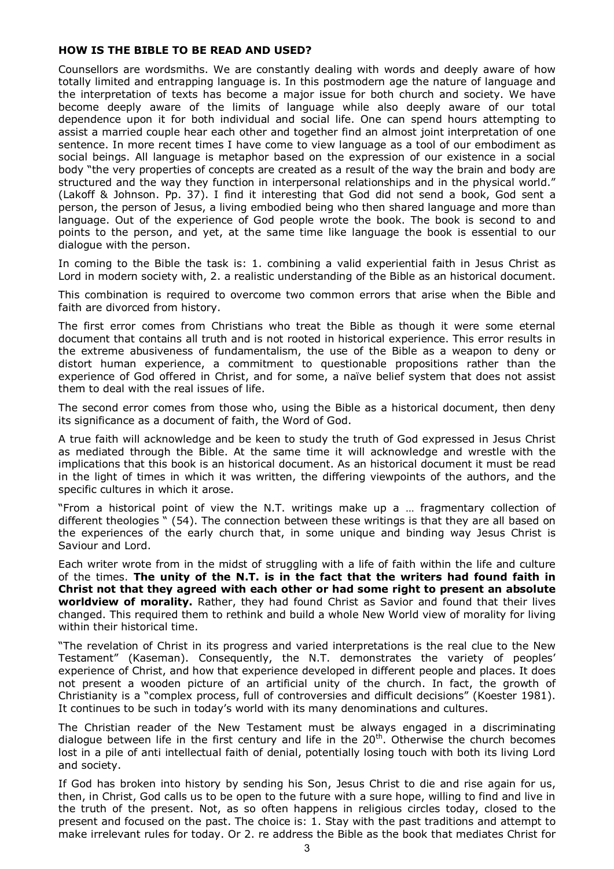# **HOW IS THE BIBLE TO BE READ AND USED?**

Counsellors are wordsmiths. We are constantly dealing with words and deeply aware of how totally limited and entrapping language is. In this postmodern age the nature of language and the interpretation of texts has become a major issue for both church and society. We have become deeply aware of the limits of language while also deeply aware of our total dependence upon it for both individual and social life. One can spend hours attempting to assist a married couple hear each other and together find an almost joint interpretation of one sentence. In more recent times I have come to view language as a tool of our embodiment as social beings. All language is metaphor based on the expression of our existence in a social body "the very properties of concepts are created as a result of the way the brain and body are structured and the way they function in interpersonal relationships and in the physical world." (Lakoff & Johnson. Pp. 37). I find it interesting that God did not send a book, God sent a person, the person of Jesus, a living embodied being who then shared language and more than language. Out of the experience of God people wrote the book. The book is second to and points to the person, and yet, at the same time like language the book is essential to our dialogue with the person.

In coming to the Bible the task is: 1. combining a valid experiential faith in Jesus Christ as Lord in modern society with, 2. a realistic understanding of the Bible as an historical document.

This combination is required to overcome two common errors that arise when the Bible and faith are divorced from history.

The first error comes from Christians who treat the Bible as though it were some eternal document that contains all truth and is not rooted in historical experience. This error results in the extreme abusiveness of fundamentalism, the use of the Bible as a weapon to deny or distort human experience, a commitment to questionable propositions rather than the experience of God offered in Christ, and for some, a naïve belief system that does not assist them to deal with the real issues of life.

The second error comes from those who, using the Bible as a historical document, then deny its significance as a document of faith, the Word of God.

A true faith will acknowledge and be keen to study the truth of God expressed in Jesus Christ as mediated through the Bible. At the same time it will acknowledge and wrestle with the implications that this book is an historical document. As an historical document it must be read in the light of times in which it was written, the differing viewpoints of the authors, and the specific cultures in which it arose.

"From a historical point of view the N.T. writings make up a … fragmentary collection of different theologies " (54). The connection between these writings is that they are all based on the experiences of the early church that, in some unique and binding way Jesus Christ is Saviour and Lord.

Each writer wrote from in the midst of struggling with a life of faith within the life and culture of the times. **The unity of the N.T. is in the fact that the writers had found faith in Christ not that they agreed with each other or had some right to present an absolute worldview of morality.** Rather, they had found Christ as Savior and found that their lives changed. This required them to rethink and build a whole New World view of morality for living within their historical time.

"The revelation of Christ in its progress and varied interpretations is the real clue to the New Testament" (Kaseman). Consequently, the N.T. demonstrates the variety of peoples' experience of Christ, and how that experience developed in different people and places. It does not present a wooden picture of an artificial unity of the church. In fact, the growth of Christianity is a "complex process, full of controversies and difficult decisions" (Koester 1981). It continues to be such in today's world with its many denominations and cultures.

The Christian reader of the New Testament must be always engaged in a discriminating dialogue between life in the first century and life in the  $20<sup>th</sup>$ . Otherwise the church becomes lost in a pile of anti intellectual faith of denial, potentially losing touch with both its living Lord and society.

If God has broken into history by sending his Son, Jesus Christ to die and rise again for us, then, in Christ, God calls us to be open to the future with a sure hope, willing to find and live in the truth of the present. Not, as so often happens in religious circles today, closed to the present and focused on the past. The choice is: 1. Stay with the past traditions and attempt to make irrelevant rules for today. Or 2. re address the Bible as the book that mediates Christ for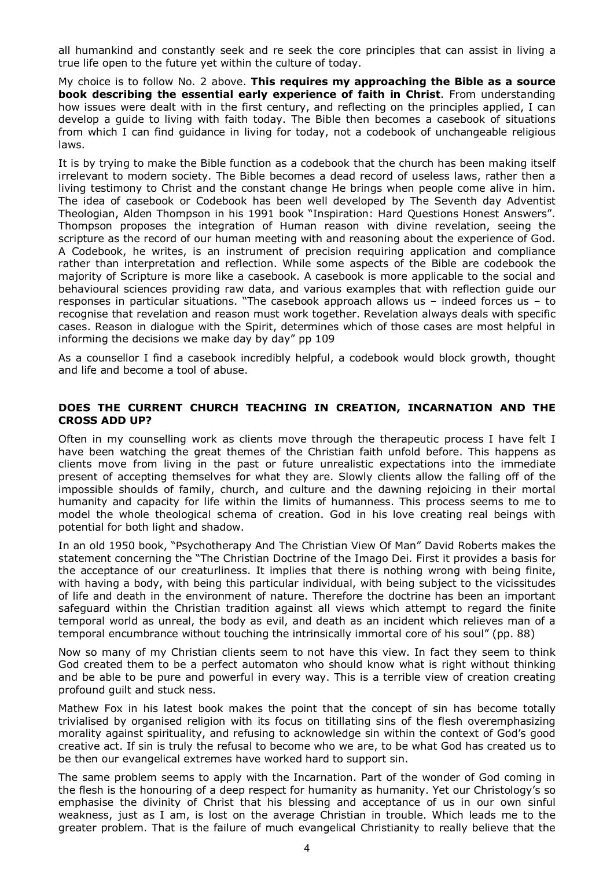all humankind and constantly seek and re seek the core principles that can assist in living a true life open to the future yet within the culture of today.

My choice is to follow No. 2 above. **This requires my approaching the Bible as a source book describing the essential early experience of faith in Christ**. From understanding how issues were dealt with in the first century, and reflecting on the principles applied, I can develop a guide to living with faith today. The Bible then becomes a casebook of situations from which I can find guidance in living for today, not a codebook of unchangeable religious laws.

It is by trying to make the Bible function as a codebook that the church has been making itself irrelevant to modern society. The Bible becomes a dead record of useless laws, rather then a living testimony to Christ and the constant change He brings when people come alive in him. The idea of casebook or Codebook has been well developed by The Seventh day Adventist Theologian, Alden Thompson in his 1991 book "Inspiration: Hard Questions Honest Answers". Thompson proposes the integration of Human reason with divine revelation, seeing the scripture as the record of our human meeting with and reasoning about the experience of God. A Codebook, he writes, is an instrument of precision requiring application and compliance rather than interpretation and reflection. While some aspects of the Bible are codebook the majority of Scripture is more like a casebook. A casebook is more applicable to the social and behavioural sciences providing raw data, and various examples that with reflection guide our responses in particular situations. "The casebook approach allows us – indeed forces us – to recognise that revelation and reason must work together. Revelation always deals with specific cases. Reason in dialogue with the Spirit, determines which of those cases are most helpful in informing the decisions we make day by day" pp 109

As a counsellor I find a casebook incredibly helpful, a codebook would block growth, thought and life and become a tool of abuse.

## **DOES THE CURRENT CHURCH TEACHING IN CREATION, INCARNATION AND THE CROSS ADD UP?**

Often in my counselling work as clients move through the therapeutic process I have felt I have been watching the great themes of the Christian faith unfold before. This happens as clients move from living in the past or future unrealistic expectations into the immediate present of accepting themselves for what they are. Slowly clients allow the falling off of the impossible shoulds of family, church, and culture and the dawning rejoicing in their mortal humanity and capacity for life within the limits of humanness. This process seems to me to model the whole theological schema of creation. God in his love creating real beings with potential for both light and shadow.

In an old 1950 book, "Psychotherapy And The Christian View Of Man" David Roberts makes the statement concerning the "The Christian Doctrine of the Imago Dei. First it provides a basis for the acceptance of our creaturliness. It implies that there is nothing wrong with being finite, with having a body, with being this particular individual, with being subject to the vicissitudes of life and death in the environment of nature. Therefore the doctrine has been an important safeguard within the Christian tradition against all views which attempt to regard the finite temporal world as unreal, the body as evil, and death as an incident which relieves man of a temporal encumbrance without touching the intrinsically immortal core of his soul" (pp. 88)

Now so many of my Christian clients seem to not have this view. In fact they seem to think God created them to be a perfect automaton who should know what is right without thinking and be able to be pure and powerful in every way. This is a terrible view of creation creating profound guilt and stuck ness.

Mathew Fox in his latest book makes the point that the concept of sin has become totally trivialised by organised religion with its focus on titillating sins of the flesh overemphasizing morality against spirituality, and refusing to acknowledge sin within the context of God's good creative act. If sin is truly the refusal to become who we are, to be what God has created us to be then our evangelical extremes have worked hard to support sin.

The same problem seems to apply with the Incarnation. Part of the wonder of God coming in the flesh is the honouring of a deep respect for humanity as humanity. Yet our Christology's so emphasise the divinity of Christ that his blessing and acceptance of us in our own sinful weakness, just as I am, is lost on the average Christian in trouble. Which leads me to the greater problem. That is the failure of much evangelical Christianity to really believe that the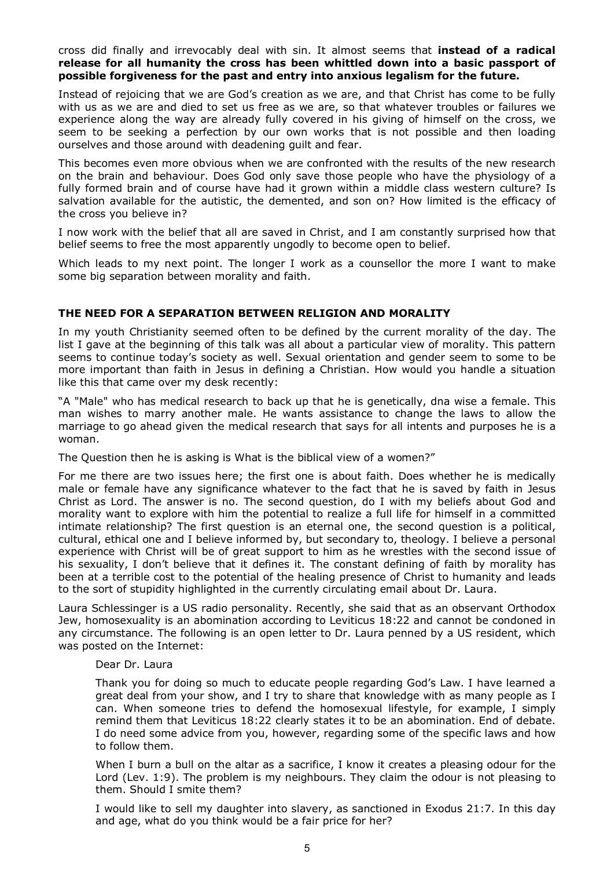cross did finally and irrevocably deal with sin. It almost seems that **instead of a radical release for all humanity the cross has been whittled down into a basic passport of possible forgiveness for the past and entry into anxious legalism for the future.** 

Instead of rejoicing that we are God's creation as we are, and that Christ has come to be fully with us as we are and died to set us free as we are, so that whatever troubles or failures we experience along the way are already fully covered in his giving of himself on the cross, we seem to be seeking a perfection by our own works that is not possible and then loading ourselves and those around with deadening guilt and fear.

This becomes even more obvious when we are confronted with the results of the new research on the brain and behaviour. Does God only save those people who have the physiology of a fully formed brain and of course have had it grown within a middle class western culture? Is salvation available for the autistic, the demented, and son on? How limited is the efficacy of the cross you believe in?

I now work with the belief that all are saved in Christ, and I am constantly surprised how that belief seems to free the most apparently ungodly to become open to belief.

Which leads to my next point. The longer I work as a counsellor the more I want to make some big separation between morality and faith.

# **THE NEED FOR A SEPARATION BETWEEN RELIGION AND MORALITY**

In my youth Christianity seemed often to be defined by the current morality of the day. The list I gave at the beginning of this talk was all about a particular view of morality. This pattern seems to continue today's society as well. Sexual orientation and gender seem to some to be more important than faith in Jesus in defining a Christian. How would you handle a situation like this that came over my desk recently:

"A "Male" who has medical research to back up that he is genetically, dna wise a female. This man wishes to marry another male. He wants assistance to change the laws to allow the marriage to go ahead given the medical research that says for all intents and purposes he is a woman.

The Question then he is asking is What is the biblical view of a women?"

For me there are two issues here; the first one is about faith. Does whether he is medically male or female have any significance whatever to the fact that he is saved by faith in Jesus Christ as Lord. The answer is no. The second question, do I with my beliefs about God and morality want to explore with him the potential to realize a full life for himself in a committed intimate relationship? The first question is an eternal one, the second question is a political, cultural, ethical one and I believe informed by, but secondary to, theology. I believe a personal experience with Christ will be of great support to him as he wrestles with the second issue of his sexuality, I don't believe that it defines it. The constant defining of faith by morality has been at a terrible cost to the potential of the healing presence of Christ to humanity and leads to the sort of stupidity highlighted in the currently circulating email about Dr. Laura.

Laura Schlessinger is a US radio personality. Recently, she said that as an observant Orthodox Jew, homosexuality is an abomination according to Leviticus 18:22 and cannot be condoned in any circumstance. The following is an open letter to Dr. Laura penned by a US resident, which was posted on the Internet:

#### Dear Dr. Laura

Thank you for doing so much to educate people regarding God's Law. I have learned a great deal from your show, and I try to share that knowledge with as many people as I can. When someone tries to defend the homosexual lifestyle, for example, I simply remind them that Leviticus 18:22 clearly states it to be an abomination. End of debate. I do need some advice from you, however, regarding some of the specific laws and how to follow them.

When I burn a bull on the altar as a sacrifice, I know it creates a pleasing odour for the Lord (Lev. 1:9). The problem is my neighbours. They claim the odour is not pleasing to them. Should I smite them?

I would like to sell my daughter into slavery, as sanctioned in Exodus 21:7. In this day and age, what do you think would be a fair price for her?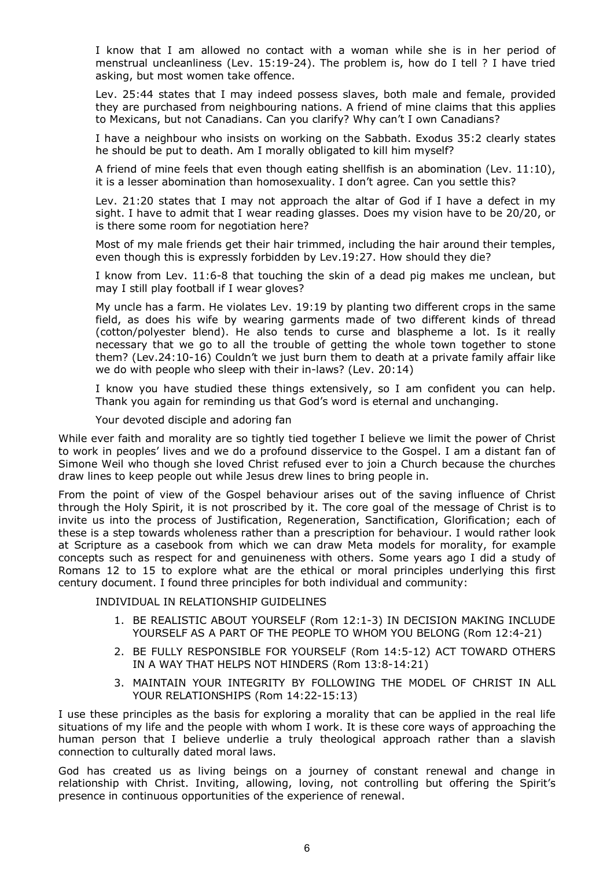I know that I am allowed no contact with a woman while she is in her period of menstrual uncleanliness (Lev. 15:1924). The problem is, how do I tell ? I have tried asking, but most women take offence.

Lev. 25:44 states that I may indeed possess slaves, both male and female, provided they are purchased from neighbouring nations. A friend of mine claims that this applies to Mexicans, but not Canadians. Can you clarify? Why can't I own Canadians?

I have a neighbour who insists on working on the Sabbath. Exodus 35:2 clearly states he should be put to death. Am I morally obligated to kill him myself?

A friend of mine feels that even though eating shellfish is an abomination (Lev. 11:10), it is a lesser abomination than homosexuality. I don't agree. Can you settle this?

Lev. 21:20 states that I may not approach the altar of God if I have a defect in my sight. I have to admit that I wear reading glasses. Does my vision have to be 20/20, or is there some room for negotiation here?

Most of my male friends get their hair trimmed, including the hair around their temples, even though this is expressly forbidden by Lev.19:27. How should they die?

I know from Lev. 11:6-8 that touching the skin of a dead pig makes me unclean, but may I still play football if I wear gloves?

My uncle has a farm. He violates Lev. 19:19 by planting two different crops in the same field, as does his wife by wearing garments made of two different kinds of thread (cotton/polyester blend). He also tends to curse and blaspheme a lot. Is it really necessary that we go to all the trouble of getting the whole town together to stone them? (Lev.24:10-16) Couldn't we just burn them to death at a private family affair like we do with people who sleep with their in-laws? (Lev.  $20:14$ )

I know you have studied these things extensively, so I am confident you can help. Thank you again for reminding us that God's word is eternal and unchanging.

Your devoted disciple and adoring fan

While ever faith and morality are so tightly tied together I believe we limit the power of Christ to work in peoples' lives and we do a profound disservice to the Gospel. I am a distant fan of Simone Weil who though she loved Christ refused ever to join a Church because the churches draw lines to keep people out while Jesus drew lines to bring people in.

From the point of view of the Gospel behaviour arises out of the saving influence of Christ through the Holy Spirit, it is not proscribed by it. The core goal of the message of Christ is to invite us into the process of Justification, Regeneration, Sanctification, Glorification; each of these is a step towards wholeness rather than a prescription for behaviour. I would rather look at Scripture as a casebook from which we can draw Meta models for morality, for example concepts such as respect for and genuineness with others. Some years ago I did a study of Romans 12 to 15 to explore what are the ethical or moral principles underlying this first century document. I found three principles for both individual and community:

INDIVIDUAL IN RELATIONSHIP GUIDELINES

- 1. BE REALISTIC ABOUT YOURSELF (Rom 12:13) IN DECISION MAKING INCLUDE YOURSELF AS A PART OF THE PEOPLE TO WHOM YOU BELONG (Rom 12:421)
- 2. BE FULLY RESPONSIBLE FOR YOURSELF (Rom 14:512) ACT TOWARD OTHERS IN A WAY THAT HELPS NOT HINDERS (Rom 13:8-14:21)
- 3. MAINTAIN YOUR INTEGRITY BY FOLLOWING THE MODEL OF CHRIST IN ALL YOUR RELATIONSHIPS (Rom 14:22-15:13)

I use these principles as the basis for exploring a morality that can be applied in the real life situations of my life and the people with whom I work. It is these core ways of approaching the human person that I believe underlie a truly theological approach rather than a slavish connection to culturally dated moral laws.

God has created us as living beings on a journey of constant renewal and change in relationship with Christ. Inviting, allowing, loving, not controlling but offering the Spirit's presence in continuous opportunities of the experience of renewal.